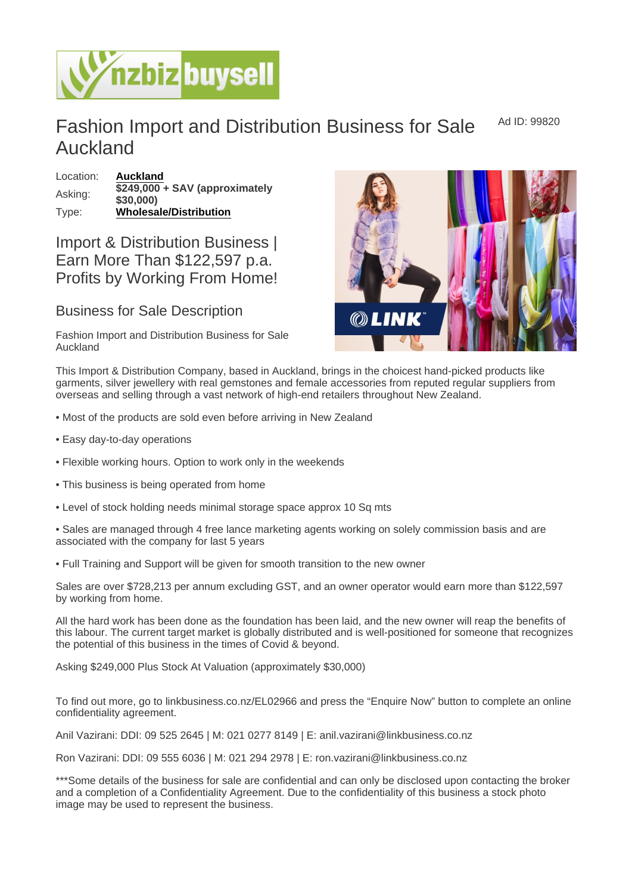## Fashion Import and Distribution Business for Sale Auckland Ad ID: 99820

Location: [Auckland](https://www.nzbizbuysell.co.nz/businesses-for-sale/location/Auckland) Asking:  $\sqrt{\frac{$249,000}{0.000}} +$  SAV (approximately \$30,000) Type: [Wholesale/Distribution](https://www.nzbizbuysell.co.nz/businesses-for-sale/Wholesale--Distribution/New-Zealand)

## Import & Distribution Business | Earn More Than \$122,597 p.a. Profits by Working From Home!

## Business for Sale Description

Fashion Import and Distribution Business for Sale Auckland

This Import & Distribution Company, based in Auckland, brings in the choicest hand-picked products like garments, silver jewellery with real gemstones and female accessories from reputed regular suppliers from overseas and selling through a vast network of high-end retailers throughout New Zealand.

- Most of the products are sold even before arriving in New Zealand
- Easy day-to-day operations
- Flexible working hours. Option to work only in the weekends
- This business is being operated from home
- Level of stock holding needs minimal storage space approx 10 Sq mts
- Sales are managed through 4 free lance marketing agents working on solely commission basis and are associated with the company for last 5 years
- Full Training and Support will be given for smooth transition to the new owner

Sales are over \$728,213 per annum excluding GST, and an owner operator would earn more than \$122,597 by working from home.

All the hard work has been done as the foundation has been laid, and the new owner will reap the benefits of this labour. The current target market is globally distributed and is well-positioned for someone that recognizes the potential of this business in the times of Covid & beyond.

Asking \$249,000 Plus Stock At Valuation (approximately \$30,000)

To find out more, go to linkbusiness.co.nz/EL02966 and press the "Enquire Now" button to complete an online confidentiality agreement.

Anil Vazirani: DDI: 09 525 2645 | M: 021 0277 8149 | E: anil.vazirani@linkbusiness.co.nz

Ron Vazirani: DDI: 09 555 6036 | M: 021 294 2978 | E: ron.vazirani@linkbusiness.co.nz

\*\*\*Some details of the business for sale are confidential and can only be disclosed upon contacting the broker and a completion of a Confidentiality Agreement. Due to the confidentiality of this business a stock photo image may be used to represent the business.